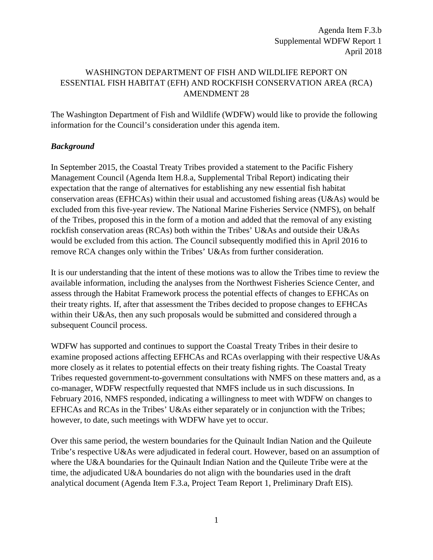Agenda Item F.3.b Supplemental WDFW Report 1 April 2018

## WASHINGTON DEPARTMENT OF FISH AND WILDLIFE REPORT ON ESSENTIAL FISH HABITAT (EFH) AND ROCKFISH CONSERVATION AREA (RCA) AMENDMENT 28

The Washington Department of Fish and Wildlife (WDFW) would like to provide the following information for the Council's consideration under this agenda item.

#### *Background*

In September 2015, the Coastal Treaty Tribes provided a statement to the Pacific Fishery Management Council (Agenda Item H.8.a, Supplemental Tribal Report) indicating their expectation that the range of alternatives for establishing any new essential fish habitat conservation areas (EFHCAs) within their usual and accustomed fishing areas (U&As) would be excluded from this five-year review. The National Marine Fisheries Service (NMFS), on behalf of the Tribes, proposed this in the form of a motion and added that the removal of any existing rockfish conservation areas (RCAs) both within the Tribes' U&As and outside their U&As would be excluded from this action. The Council subsequently modified this in April 2016 to remove RCA changes only within the Tribes' U&As from further consideration.

It is our understanding that the intent of these motions was to allow the Tribes time to review the available information, including the analyses from the Northwest Fisheries Science Center, and assess through the Habitat Framework process the potential effects of changes to EFHCAs on their treaty rights. If, after that assessment the Tribes decided to propose changes to EFHCAs within their U&As, then any such proposals would be submitted and considered through a subsequent Council process.

WDFW has supported and continues to support the Coastal Treaty Tribes in their desire to examine proposed actions affecting EFHCAs and RCAs overlapping with their respective U&As more closely as it relates to potential effects on their treaty fishing rights. The Coastal Treaty Tribes requested government-to-government consultations with NMFS on these matters and, as a co-manager, WDFW respectfully requested that NMFS include us in such discussions. In February 2016, NMFS responded, indicating a willingness to meet with WDFW on changes to EFHCAs and RCAs in the Tribes' U&As either separately or in conjunction with the Tribes; however, to date, such meetings with WDFW have yet to occur.

Over this same period, the western boundaries for the Quinault Indian Nation and the Quileute Tribe's respective U&As were adjudicated in federal court. However, based on an assumption of where the U&A boundaries for the Quinault Indian Nation and the Quileute Tribe were at the time, the adjudicated U&A boundaries do not align with the boundaries used in the draft analytical document (Agenda Item F.3.a, Project Team Report 1, Preliminary Draft EIS).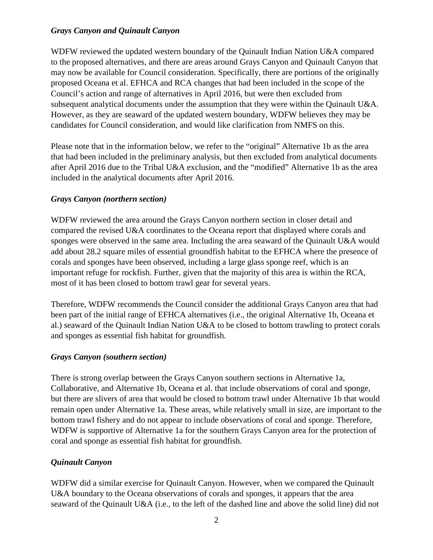### *Grays Canyon and Quinault Canyon*

WDFW reviewed the updated western boundary of the Quinault Indian Nation U&A compared to the proposed alternatives, and there are areas around Grays Canyon and Quinault Canyon that may now be available for Council consideration. Specifically, there are portions of the originally proposed Oceana et al. EFHCA and RCA changes that had been included in the scope of the Council's action and range of alternatives in April 2016, but were then excluded from subsequent analytical documents under the assumption that they were within the Quinault U&A. However, as they are seaward of the updated western boundary, WDFW believes they may be candidates for Council consideration, and would like clarification from NMFS on this.

Please note that in the information below, we refer to the "original" Alternative 1b as the area that had been included in the preliminary analysis, but then excluded from analytical documents after April 2016 due to the Tribal U&A exclusion, and the "modified" Alternative 1b as the area included in the analytical documents after April 2016.

#### *Grays Canyon (northern section)*

WDFW reviewed the area around the Grays Canyon northern section in closer detail and compared the revised U&A coordinates to the Oceana report that displayed where corals and sponges were observed in the same area. Including the area seaward of the Quinault U&A would add about 28.2 square miles of essential groundfish habitat to the EFHCA where the presence of corals and sponges have been observed, including a large glass sponge reef, which is an important refuge for rockfish. Further, given that the majority of this area is within the RCA, most of it has been closed to bottom trawl gear for several years.

Therefore, WDFW recommends the Council consider the additional Grays Canyon area that had been part of the initial range of EFHCA alternatives (i.e., the original Alternative 1b, Oceana et al.) seaward of the Quinault Indian Nation U&A to be closed to bottom trawling to protect corals and sponges as essential fish habitat for groundfish.

#### *Grays Canyon (southern section)*

There is strong overlap between the Grays Canyon southern sections in Alternative 1a, Collaborative, and Alternative 1b, Oceana et al. that include observations of coral and sponge, but there are slivers of area that would be closed to bottom trawl under Alternative 1b that would remain open under Alternative 1a. These areas, while relatively small in size, are important to the bottom trawl fishery and do not appear to include observations of coral and sponge. Therefore, WDFW is supportive of Alternative 1a for the southern Grays Canyon area for the protection of coral and sponge as essential fish habitat for groundfish.

## *Quinault Canyon*

WDFW did a similar exercise for Quinault Canyon. However, when we compared the Quinault U&A boundary to the Oceana observations of corals and sponges, it appears that the area seaward of the Quinault U&A (i.e., to the left of the dashed line and above the solid line) did not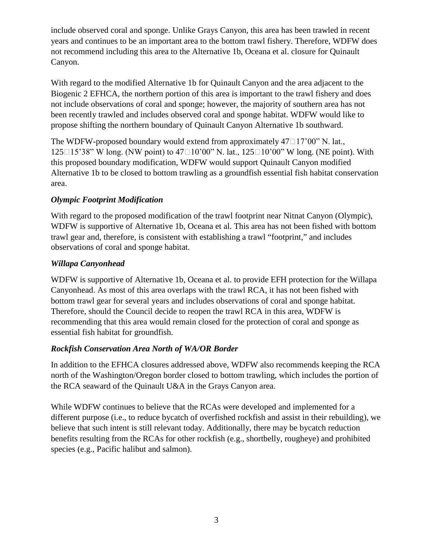include observed coral and sponge. Unlike Grays Canyon, this area has been trawled in recent years and continues to be an important area to the bottom trawl fishery. Therefore, WDFW does not recommend including this area to the Alternative 1b, Oceana et al. closure for Quinault Canyon.

With regard to the modified Alternative 1b for Quinault Canyon and the area adjacent to the Biogenic 2 EFHCA, the northern portion of this area is important to the trawl fishery and does not include observations of coral and sponge; however, the majority of southern area has not been recently trawled and includes observed coral and sponge habitat. WDFW would like to propose shifting the northern boundary of Quinault Canyon Alternative 1b southward.

The WDFW-proposed boundary would extend from approximately  $47\square17'00''$  N. lat.,  $125 \square 15'38''$  W long. (NW point) to  $47 \square 10'00''$  N. lat.,  $125 \square 10'00''$  W long. (NE point). With this proposed boundary modification, WDFW would support Quinault Canyon modified Alternative 1b to be closed to bottom trawling as a groundfish essential fish habitat conservation area.

# *Olympic Footprint Modification*

With regard to the proposed modification of the trawl footprint near Nitnat Canyon (Olympic), WDFW is supportive of Alternative 1b, Oceana et al. This area has not been fished with bottom trawl gear and, therefore, is consistent with establishing a trawl "footprint," and includes observations of coral and sponge habitat.

## *Willapa Canyonhead*

WDFW is supportive of Alternative 1b, Oceana et al. to provide EFH protection for the Willapa Canyonhead. As most of this area overlaps with the trawl RCA, it has not been fished with bottom trawl gear for several years and includes observations of coral and sponge habitat. Therefore, should the Council decide to reopen the trawl RCA in this area, WDFW is recommending that this area would remain closed for the protection of coral and sponge as essential fish habitat for groundfish.

## *Rockfish Conservation Area North of WA/OR Border*

In addition to the EFHCA closures addressed above, WDFW also recommends keeping the RCA north of the Washington/Oregon border closed to bottom trawling, which includes the portion of the RCA seaward of the Quinault U&A in the Grays Canyon area.

While WDFW continues to believe that the RCAs were developed and implemented for a different purpose (i.e., to reduce bycatch of overfished rockfish and assist in their rebuilding), we believe that such intent is still relevant today. Additionally, there may be bycatch reduction benefits resulting from the RCAs for other rockfish (e.g., shortbelly, rougheye) and prohibited species (e.g., Pacific halibut and salmon).